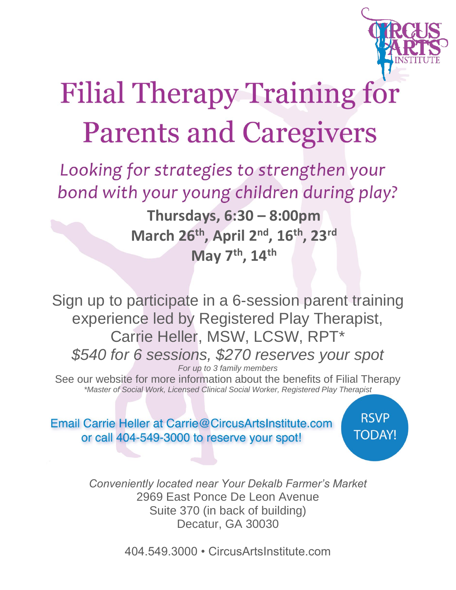

## **Filial Therapy Training for Parents and Caregivers**

Looking for strategies to strengthen your bond with your young children during play?

> **Thursdays, 6:30 – 8:00pm March 26th , April 2 nd , 16 th, 23 rd May 7 th, 14 th**

Sign up to participate in a 6-session parent training experience led by Registered Play Therapist, Carrie Heller, MSW, LCSW, RPT\* *\$540 for 6 sessions, \$270 reserves your spot For up to 3 family members*

See our website for more information about the benefits of Filial Therapy *\*Master of Social Work, Licensed Clinical Social Worker, Registered Play Therapist*

Email Carrie Heller at Carrie@CircusArtsInstitute.com or call 404-549-3000 to reserve your spot!

**RSVP TODAY!** 

*Conveniently located near Your Dekalb Farmer's Market* 2969 East Ponce De Leon Avenue Suite 370 (in back of building) Decatur, GA 30030

404.549.3000 • CircusArtsInstitute.com